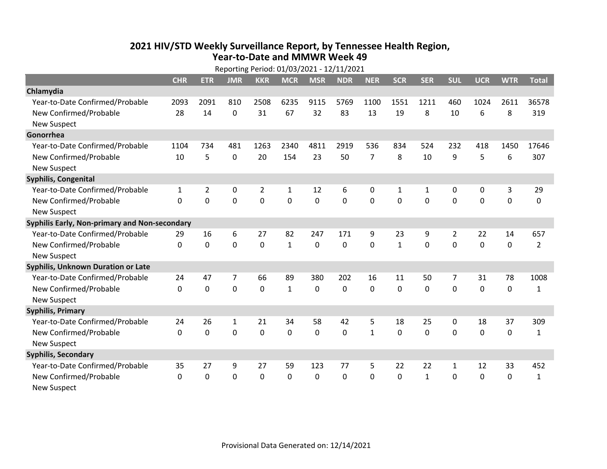## **2021 HIV /STD Weekly Surveillance Report, by Tennessee Health Region, Year‐to‐Date and MMWR Week 49** Reporting Period: 01/03/2021 ‐ 12/11/2021

| Reporting Period: 01/03/2021 - 12/11/2021     |              |                |             |                |              |                |            |                |              |              |                |             |             |                |
|-----------------------------------------------|--------------|----------------|-------------|----------------|--------------|----------------|------------|----------------|--------------|--------------|----------------|-------------|-------------|----------------|
|                                               | <b>CHR</b>   | <b>ETR</b>     | <b>JMR</b>  | <b>KKR</b>     | <b>MCR</b>   | <b>MSR</b>     | <b>NDR</b> | <b>NER</b>     | <b>SCR</b>   | <b>SER</b>   | <b>SUL</b>     | <b>UCR</b>  | <b>WTR</b>  | <b>Total</b>   |
| Chlamydia                                     |              |                |             |                |              |                |            |                |              |              |                |             |             |                |
| Year-to-Date Confirmed/Probable               | 2093         | 2091           | 810         | 2508           | 6235         | 9115           | 5769       | 1100           | 1551         | 1211         | 460            | 1024        | 2611        | 36578          |
| New Confirmed/Probable                        | 28           | 14             | $\mathbf 0$ | 31             | 67           | 32             | 83         | 13             | 19           | 8            | 10             | 6           | 8           | 319            |
| <b>New Suspect</b>                            |              |                |             |                |              |                |            |                |              |              |                |             |             |                |
| Gonorrhea                                     |              |                |             |                |              |                |            |                |              |              |                |             |             |                |
| Year-to-Date Confirmed/Probable               | 1104         | 734            | 481         | 1263           | 2340         | 4811           | 2919       | 536            | 834          | 524          | 232            | 418         | 1450        | 17646          |
| New Confirmed/Probable                        | 10           | 5              | $\mathbf 0$ | 20             | 154          | 23             | 50         | $\overline{7}$ | 8            | 10           | 9              | 5           | 6           | 307            |
| <b>New Suspect</b>                            |              |                |             |                |              |                |            |                |              |              |                |             |             |                |
| <b>Syphilis, Congenital</b>                   |              |                |             |                |              |                |            |                |              |              |                |             |             |                |
| Year-to-Date Confirmed/Probable               | $\mathbf{1}$ | $\overline{2}$ | $\mathbf 0$ | $\overline{2}$ | $\mathbf{1}$ | 12             | 6          | 0              | 1            | $\mathbf{1}$ | 0              | 0           | 3           | 29             |
| New Confirmed/Probable                        | $\Omega$     | 0              | $\mathbf 0$ | $\overline{0}$ | $\mathbf 0$  | $\mathbf 0$    | 0          | $\Omega$       | $\Omega$     | $\mathbf 0$  | $\mathbf 0$    | $\mathbf 0$ | $\mathbf 0$ | 0              |
| <b>New Suspect</b>                            |              |                |             |                |              |                |            |                |              |              |                |             |             |                |
| Syphilis Early, Non-primary and Non-secondary |              |                |             |                |              |                |            |                |              |              |                |             |             |                |
| Year-to-Date Confirmed/Probable               | 29           | 16             | 6           | 27             | 82           | 247            | 171        | 9              | 23           | 9            | $\overline{2}$ | 22          | 14          | 657            |
| New Confirmed/Probable                        | $\mathbf{0}$ | $\mathbf 0$    | 0           | 0              | $\mathbf{1}$ | $\mathbf 0$    | 0          | $\mathbf 0$    | $\mathbf{1}$ | 0            | 0              | 0           | $\mathbf 0$ | $\overline{2}$ |
| <b>New Suspect</b>                            |              |                |             |                |              |                |            |                |              |              |                |             |             |                |
| <b>Syphilis, Unknown Duration or Late</b>     |              |                |             |                |              |                |            |                |              |              |                |             |             |                |
| Year-to-Date Confirmed/Probable               | 24           | 47             | 7           | 66             | 89           | 380            | 202        | 16             | 11           | 50           | 7              | 31          | 78          | 1008           |
| New Confirmed/Probable                        | $\Omega$     | $\mathbf 0$    | 0           | 0              | $\mathbf{1}$ | $\mathbf 0$    | 0          | $\Omega$       | $\Omega$     | $\Omega$     | $\Omega$       | 0           | $\mathbf 0$ | $\mathbf{1}$   |
| <b>New Suspect</b>                            |              |                |             |                |              |                |            |                |              |              |                |             |             |                |
| <b>Syphilis, Primary</b>                      |              |                |             |                |              |                |            |                |              |              |                |             |             |                |
| Year-to-Date Confirmed/Probable               | 24           | 26             | 1           | 21             | 34           | 58             | 42         | 5              | 18           | 25           | 0              | 18          | 37          | 309            |
| New Confirmed/Probable                        | 0            | 0              | 0           | 0              | $\mathbf 0$  | $\mathbf 0$    | 0          | $\mathbf{1}$   | $\Omega$     | 0            | 0              | 0           | $\mathbf 0$ | $\mathbf{1}$   |
| <b>New Suspect</b>                            |              |                |             |                |              |                |            |                |              |              |                |             |             |                |
| <b>Syphilis, Secondary</b>                    |              |                |             |                |              |                |            |                |              |              |                |             |             |                |
| Year-to-Date Confirmed/Probable               | 35           | 27             | 9           | 27             | 59           | 123            | 77         | 5              | 22           | 22           | 1              | 12          | 33          | 452            |
| New Confirmed/Probable                        | $\Omega$     | 0              | 0           | 0              | $\mathbf 0$  | $\overline{0}$ | $\Omega$   | $\Omega$       | $\Omega$     | $\mathbf{1}$ | 0              | $\mathbf 0$ | $\mathbf 0$ | $\mathbf{1}$   |
| <b>New Suspect</b>                            |              |                |             |                |              |                |            |                |              |              |                |             |             |                |